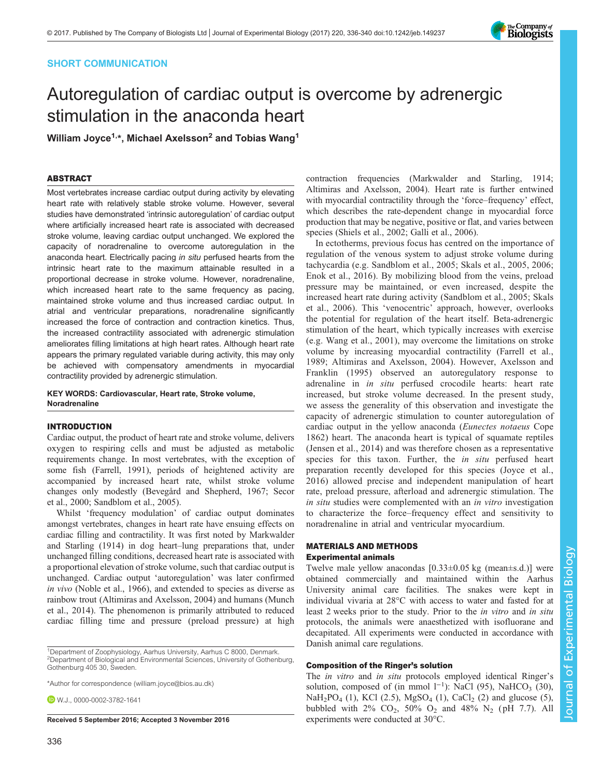# SHORT COMMUNICATION

# Autoregulation of cardiac output is overcome by adrenergic stimulation in the anaconda heart

William Joyce<sup>1,\*</sup>, Michael Axelsson<sup>2</sup> and Tobias Wang<sup>1</sup>

-----------<br>Most vertebrates increase cardiac output during activity by elevating heart rate with relatively stable stroke volume. However, several studies have demonstrated 'intrinsic autoregulation' of cardiac output where artificially increased heart rate is associated with decreased stroke volume, leaving cardiac output unchanged. We explored the capacity of noradrenaline to overcome autoregulation in the anaconda heart. Electrically pacing in situ perfused hearts from the intrinsic heart rate to the maximum attainable resulted in a proportional decrease in stroke volume. However, noradrenaline, which increased heart rate to the same frequency as pacing, maintained stroke volume and thus increased cardiac output. In atrial and ventricular preparations, noradrenaline significantly increased the force of contraction and contraction kinetics. Thus, the increased contractility associated with adrenergic stimulation ameliorates filling limitations at high heart rates. Although heart rate appears the primary regulated variable during activity, this may only be achieved with compensatory amendments in myocardial contractility provided by adrenergic stimulation.

### KEY WORDS: Cardiovascular, Heart rate, Stroke volume, Noradrenaline

## **INTRODUCTION**

Cardiac output, the product of heart rate and stroke volume, delivers oxygen to respiring cells and must be adjusted as metabolic requirements change. In most vertebrates, with the exception of some fish ([Farrell, 1991\)](#page-3-0), periods of heightened activity are accompanied by increased heart rate, whilst stroke volume changes only modestly [\(Bevegård and Shepherd, 1967;](#page-3-0) [Secor](#page-4-0) [et al., 2000; Sandblom et al., 2005](#page-4-0)).

Whilst 'frequency modulation' of cardiac output dominates amongst vertebrates, changes in heart rate have ensuing effects on cardiac filling and contractility. It was first noted by [Markwalder](#page-3-0) [and Starling \(1914\)](#page-3-0) in dog heart–lung preparations that, under unchanged filling conditions, decreased heart rate is associated with a proportional elevation of stroke volume, such that cardiac output is unchanged. Cardiac output 'autoregulation' was later confirmed in vivo ([Noble et al., 1966](#page-4-0)), and extended to species as diverse as rainbow trout [\(Altimiras and Axelsson, 2004\)](#page-3-0) and humans [\(Munch](#page-3-0) [et al., 2014](#page-3-0)). The phenomenon is primarily attributed to reduced cardiac filling time and pressure (preload pressure) at high

**D** W.J., [0000-0002-3782-1641](http://orcid.org/0000-0002-3782-1641)

Received 5 September 2016; Accepted 3 November 2016 experiments were conducted at  $30^{\circ}$ C.

[Altimiras and Axelsson, 2004\)](#page-3-0). Heart rate is further entwined with myocardial contractility through the 'force–frequency' effect, which describes the rate-dependent change in myocardial force production that may be negative, positive or flat, and varies between species ([Shiels et al., 2002](#page-4-0); [Galli et al., 2006](#page-3-0)). In ectotherms, previous focus has centred on the importance of

contraction frequencies [\(Markwalder and Starling, 1914](#page-3-0);

regulation of the venous system to adjust stroke volume during tachycardia (e.g. [Sandblom et al., 2005](#page-4-0); [Skals et al., 2005, 2006](#page-4-0); [Enok et al., 2016\)](#page-3-0). By mobilizing blood from the veins, preload pressure may be maintained, or even increased, despite the increased heart rate during activity [\(Sandblom et al., 2005; Skals](#page-4-0) [et al., 2006\)](#page-4-0). This 'venocentric' approach, however, overlooks the potential for regulation of the heart itself. Beta-adrenergic stimulation of the heart, which typically increases with exercise (e.g. [Wang et al., 2001\)](#page-4-0), may overcome the limitations on stroke volume by increasing myocardial contractility [\(Farrell et al.,](#page-3-0) [1989](#page-3-0); [Altimiras and Axelsson, 2004\)](#page-3-0). However, [Axelsson and](#page-3-0) [Franklin \(1995\)](#page-3-0) observed an autoregulatory response to adrenaline in in situ perfused crocodile hearts: heart rate increased, but stroke volume decreased. In the present study, we assess the generality of this observation and investigate the capacity of adrenergic stimulation to counter autoregulation of cardiac output in the yellow anaconda (Eunectes notaeus Cope 1862) heart. The anaconda heart is typical of squamate reptiles [\(Jensen et al., 2014](#page-3-0)) and was therefore chosen as a representative species for this taxon. Further, the *in situ* perfused heart preparation recently developed for this species ([Joyce et al.,](#page-3-0) [2016](#page-3-0)) allowed precise and independent manipulation of heart rate, preload pressure, afterload and adrenergic stimulation. The in situ studies were complemented with an in vitro investigation to characterize the force–frequency effect and sensitivity to noradrenaline in atrial and ventricular myocardium.

# MATERIALS AND METHODS

Twelve male yellow anacondas  $[0.33 \pm 0.05$  kg (mean $\pm$ s.d.)] were obtained commercially and maintained within the Aarhus University animal care facilities. The snakes were kept in individual vivaria at 28°C with access to water and fasted for at least 2 weeks prior to the study. Prior to the in vitro and in situ protocols, the animals were anaesthetized with isofluorane and decapitated. All experiments were conducted in accordance with Danish animal care regulations.

## Composition of the Ringer's solution

The *in vitro* and *in situ* protocols employed identical Ringer's solution, composed of (in mmol  $1^{-1}$ ): NaCl (95), NaHCO<sub>3</sub> (30),  $NaH<sub>2</sub>PO<sub>4</sub> (1)$ , KCl (2.5), MgSO<sub>4</sub> (1), CaCl<sub>2</sub> (2) and glucose (5), bubbled with  $2\%$  CO<sub>2</sub>, 50% O<sub>2</sub> and 48% N<sub>2</sub> (pH 7.7). All



<sup>&</sup>lt;sup>1</sup>Department of Zoophysiology, Aarhus University, Aarhus C 8000, Denmark. 2 Department of Biological and Environmental Sciences, University of Gothenburg, Gothenburg 405 30, Sweden.

<sup>\*</sup>Author for correspondence [\(william.joyce@bios.au.dk\)](mailto:william.joyce@bios.au.dk)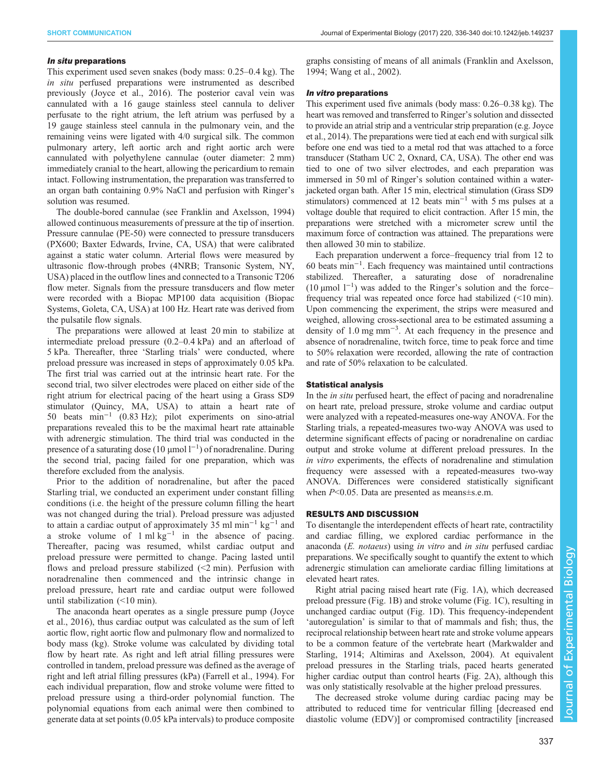### In situ preparations

This experiment used seven snakes (body mass: 0.25–0.4 kg). The in situ perfused preparations were instrumented as described previously ([Joyce et al., 2016](#page-3-0)). The posterior caval vein was cannulated with a 16 gauge stainless steel cannula to deliver perfusate to the right atrium, the left atrium was perfused by a 19 gauge stainless steel cannula in the pulmonary vein, and the remaining veins were ligated with 4/0 surgical silk. The common pulmonary artery, left aortic arch and right aortic arch were cannulated with polyethylene cannulae (outer diameter: 2 mm) immediately cranial to the heart, allowing the pericardium to remain intact. Following instrumentation, the preparation was transferred to an organ bath containing 0.9% NaCl and perfusion with Ringer's solution was resumed.

The double-bored cannulae (see [Franklin and Axelsson, 1994\)](#page-3-0) allowed continuous measurements of pressure at the tip of insertion. Pressure cannulae (PE-50) were connected to pressure transducers (PX600; Baxter Edwards, Irvine, CA, USA) that were calibrated against a static water column. Arterial flows were measured by ultrasonic flow-through probes (4NRB; Transonic System, NY, USA) placed in the outflow lines and connected to a Transonic T206 flow meter. Signals from the pressure transducers and flow meter were recorded with a Biopac MP100 data acquisition (Biopac Systems, Goleta, CA, USA) at 100 Hz. Heart rate was derived from the pulsatile flow signals.

The preparations were allowed at least 20 min to stabilize at intermediate preload pressure (0.2–0.4 kPa) and an afterload of 5 kPa. Thereafter, three 'Starling trials' were conducted, where preload pressure was increased in steps of approximately 0.05 kPa. The first trial was carried out at the intrinsic heart rate. For the second trial, two silver electrodes were placed on either side of the right atrium for electrical pacing of the heart using a Grass SD9 stimulator (Quincy, MA, USA) to attain a heart rate of 50 beats min−<sup>1</sup> (0.83 Hz); pilot experiments on sino-atrial preparations revealed this to be the maximal heart rate attainable with adrenergic stimulation. The third trial was conducted in the presence of a saturating dose (10 µmol  $l^{-1}$ ) of noradrenaline. During the second trial, pacing failed for one preparation, which was therefore excluded from the analysis.

Prior to the addition of noradrenaline, but after the paced Starling trial, we conducted an experiment under constant filling conditions (i.e. the height of the pressure column filling the heart was not changed during the trial). Preload pressure was adjusted to attain a cardiac output of approximately 35 ml min−<sup>1</sup> kg−<sup>1</sup> and a stroke volume of  $1 \text{ ml kg}^{-1}$  in the absence of pacing. Thereafter, pacing was resumed, whilst cardiac output and preload pressure were permitted to change. Pacing lasted until flows and preload pressure stabilized  $(\leq 2 \text{ min})$ . Perfusion with noradrenaline then commenced and the intrinsic change in preload pressure, heart rate and cardiac output were followed until stabilization (<10 min).

The anaconda heart operates as a single pressure pump [\(Joyce](#page-3-0) [et al., 2016](#page-3-0)), thus cardiac output was calculated as the sum of left aortic flow, right aortic flow and pulmonary flow and normalized to body mass (kg). Stroke volume was calculated by dividing total flow by heart rate. As right and left atrial filling pressures were controlled in tandem, preload pressure was defined as the average of right and left atrial filling pressures (kPa) ([Farrell et al., 1994](#page-3-0)). For each individual preparation, flow and stroke volume were fitted to preload pressure using a third-order polynomial function. The polynomial equations from each animal were then combined to generate data at set points (0.05 kPa intervals) to produce composite

graphs consisting of means of all animals ([Franklin and Axelsson,](#page-3-0) [1994;](#page-3-0) [Wang et al., 2002\)](#page-4-0).

### In vitro preparations

This experiment used five animals (body mass: 0.26–0.38 kg). The heart was removed and transferred to Ringer's solution and dissected to provide an atrial strip and a ventricular strip preparation (e.g. [Joyce](#page-3-0) [et al., 2014\)](#page-3-0). The preparations were tied at each end with surgical silk before one end was tied to a metal rod that was attached to a force transducer (Statham UC 2, Oxnard, CA, USA). The other end was tied to one of two silver electrodes, and each preparation was immersed in 50 ml of Ringer's solution contained within a waterjacketed organ bath. After 15 min, electrical stimulation (Grass SD9 stimulators) commenced at 12 beats min−<sup>1</sup> with 5 ms pulses at a voltage double that required to elicit contraction. After 15 min, the preparations were stretched with a micrometer screw until the maximum force of contraction was attained. The preparations were then allowed 30 min to stabilize.

Each preparation underwent a force–frequency trial from 12 to 60 beats min−<sup>1</sup> . Each frequency was maintained until contractions stabilized. Thereafter, a saturating dose of noradrenaline (10 µmol l−<sup>1</sup> ) was added to the Ringer's solution and the force– frequency trial was repeated once force had stabilized (<10 min). Upon commencing the experiment, the strips were measured and weighed, allowing cross-sectional area to be estimated assuming a density of 1.0 mg mm−<sup>3</sup> . At each frequency in the presence and absence of noradrenaline, twitch force, time to peak force and time to 50% relaxation were recorded, allowing the rate of contraction and rate of 50% relaxation to be calculated.

In the *in situ* perfused heart, the effect of pacing and noradrenaline on heart rate, preload pressure, stroke volume and cardiac output were analyzed with a repeated-measures one-way ANOVA. For the Starling trials, a repeated-measures two-way ANOVA was used to determine significant effects of pacing or noradrenaline on cardiac output and stroke volume at different preload pressures. In the in vitro experiments, the effects of noradrenaline and stimulation frequency were assessed with a repeated-measures two-way ANOVA. Differences were considered statistically significant when P<0.05. Data are presented as means±s.e.m.

To disentangle the interdependent effects of heart rate, contractility and cardiac filling, we explored cardiac performance in the anaconda (E. notaeus) using in vitro and in situ perfused cardiac preparations. We specifically sought to quantify the extent to which adrenergic stimulation can ameliorate cardiac filling limitations at elevated heart rates.

Right atrial pacing raised heart rate ([Fig. 1A](#page-2-0)), which decreased preload pressure [\(Fig. 1](#page-2-0)B) and stroke volume ([Fig. 1C](#page-2-0)), resulting in unchanged cardiac output [\(Fig. 1](#page-2-0)D). This frequency-independent 'autoregulation' is similar to that of mammals and fish; thus, the reciprocal relationship between heart rate and stroke volume appears to be a common feature of the vertebrate heart [\(Markwalder and](#page-3-0) [Starling, 1914; Altimiras and Axelsson, 2004\)](#page-3-0). At equivalent preload pressures in the Starling trials, paced hearts generated higher cardiac output than control hearts [\(Fig. 2](#page-2-0)A), although this was only statistically resolvable at the higher preload pressures.

The decreased stroke volume during cardiac pacing may be attributed to reduced time for ventricular filling [decreased end diastolic volume (EDV)] or compromised contractility [increased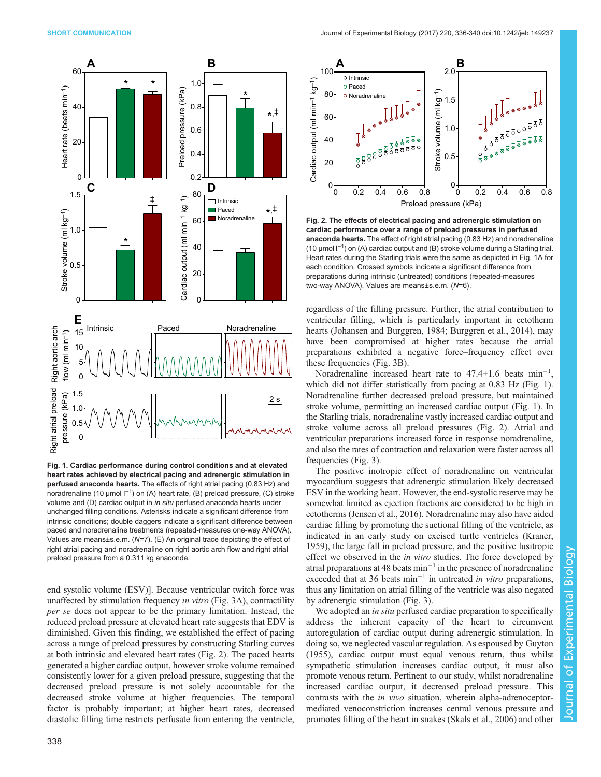<span id="page-2-0"></span>

Fig. 1. Cardiac performance during control conditions and at elevated heart rates achieved by electrical pacing and adrenergic stimulation in perfused anaconda hearts. The effects of right atrial pacing (0.83 Hz) and noradrenaline (10 μmol l<sup>−1</sup>) on (A) heart rate, (B) preload pressure, (C) stroke volume and (D) cardiac output in in situ perfused anaconda hearts under unchanged filling conditions. Asterisks indicate a significant difference from intrinsic conditions; double daggers indicate a significant difference between paced and noradrenaline treatments (repeated-measures one-way ANOVA). Values are means±s.e.m. (N=7). (E) An original trace depicting the effect of right atrial pacing and noradrenaline on right aortic arch flow and right atrial preload pressure from a 0.311 kg anaconda.

end systolic volume (ESV)]. Because ventricular twitch force was unaffected by stimulation frequency in vitro [\(Fig. 3](#page-3-0)A), contractility per se does not appear to be the primary limitation. Instead, the reduced preload pressure at elevated heart rate suggests that EDV is diminished. Given this finding, we established the effect of pacing across a range of preload pressures by constructing Starling curves at both intrinsic and elevated heart rates (Fig. 2). The paced hearts generated a higher cardiac output, however stroke volume remained consistently lower for a given preload pressure, suggesting that the decreased preload pressure is not solely accountable for the decreased stroke volume at higher frequencies. The temporal factor is probably important; at higher heart rates, decreased diastolic filling time restricts perfusate from entering the ventricle,



Fig. 2. The effects of electrical pacing and adrenergic stimulation on cardiac performance over a range of preload pressures in perfused anaconda hearts. The effect of right atrial pacing (0.83 Hz) and noradrenaline (10 µmol l−<sup>1</sup> ) on (A) cardiac output and (B) stroke volume during a Starling trial. Heart rates during the Starling trials were the same as depicted in Fig. 1A for each condition. Crossed symbols indicate a significant difference from preparations during intrinsic (untreated) conditions (repeated-measures two-way ANOVA). Values are means±s.e.m. (N=6).

regardless of the filling pressure. Further, the atrial contribution to ventricular filling, which is particularly important in ectotherm hearts [\(Johansen and Burggren, 1984; Burggren et al., 2014\)](#page-3-0), may have been compromised at higher rates because the atrial preparations exhibited a negative force–frequency effect over these frequencies ([Fig. 3](#page-3-0)B).

Noradrenaline increased heart rate to 47.4±1.6 beats min−<sup>1</sup> , which did not differ statistically from pacing at 0.83 Hz (Fig. 1). Noradrenaline further decreased preload pressure, but maintained stroke volume, permitting an increased cardiac output (Fig. 1). In the Starling trials, noradrenaline vastly increased cardiac output and stroke volume across all preload pressures (Fig. 2). Atrial and ventricular preparations increased force in response noradrenaline, and also the rates of contraction and relaxation were faster across all frequencies ([Fig. 3](#page-3-0)).

The positive inotropic effect of noradrenaline on ventricular myocardium suggests that adrenergic stimulation likely decreased ESV in the working heart. However, the end-systolic reserve may be somewhat limited as ejection fractions are considered to be high in ectotherms [\(Jensen et al., 2016\)](#page-3-0). Noradrenaline may also have aided cardiac filling by promoting the suctional filling of the ventricle, as indicated in an early study on excised turtle ventricles ([Kraner,](#page-3-0) [1959\)](#page-3-0), the large fall in preload pressure, and the positive lusitropic effect we observed in the in vitro studies. The force developed by atrial preparations at 48 beats min−<sup>1</sup> in the presence of noradrenaline exceeded that at 36 beats min−<sup>1</sup> in untreated in vitro preparations, thus any limitation on atrial filling of the ventricle was also negated by adrenergic stimulation ([Fig. 3](#page-3-0)).

We adopted an *in situ* perfused cardiac preparation to specifically address the inherent capacity of the heart to circumvent autoregulation of cardiac output during adrenergic stimulation. In doing so, we neglected vascular regulation. As espoused by [Guyton](#page-3-0) [\(1955\)](#page-3-0), cardiac output must equal venous return, thus whilst sympathetic stimulation increases cardiac output, it must also promote venous return. Pertinent to our study, whilst noradrenaline increased cardiac output, it decreased preload pressure. This contrasts with the in vivo situation, wherein alpha-adrenoceptormediated venoconstriction increases central venous pressure and promotes filling of the heart in snakes ([Skals et al., 2006](#page-4-0)) and other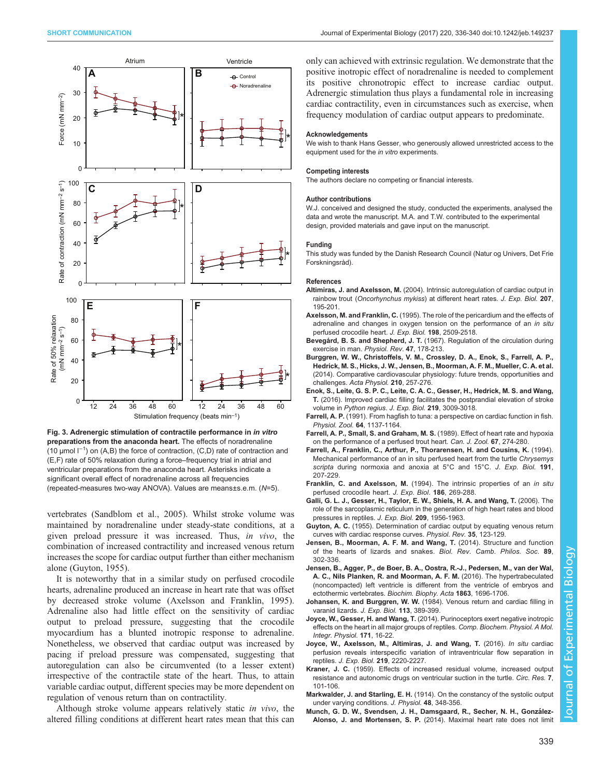<span id="page-3-0"></span>

Fig. 3. Adrenergic stimulation of contractile performance in in vitro preparations from the anaconda heart. The effects of noradrenaline (10 µmol l−<sup>1</sup> ) on (A,B) the force of contraction, (C,D) rate of contraction and (E,F) rate of 50% relaxation during a force–frequency trial in atrial and ventricular preparations from the anaconda heart. Asterisks indicate a significant overall effect of noradrenaline across all frequencies (repeated-measures two-way ANOVA). Values are means±s.e.m. (N=5).

vertebrates [\(Sandblom et al., 2005](#page-4-0)). Whilst stroke volume was maintained by noradrenaline under steady-state conditions, at a given preload pressure it was increased. Thus, in vivo, the combination of increased contractility and increased venous return increases the scope for cardiac output further than either mechanism alone (Guyton, 1955).

It is noteworthy that in a similar study on perfused crocodile hearts, adrenaline produced an increase in heart rate that was offset by decreased stroke volume (Axelsson and Franklin, 1995). Adrenaline also had little effect on the sensitivity of cardiac output to preload pressure, suggesting that the crocodile myocardium has a blunted inotropic response to adrenaline. Nonetheless, we observed that cardiac output was increased by pacing if preload pressure was compensated, suggesting that autoregulation can also be circumvented (to a lesser extent) irrespective of the contractile state of the heart. Thus, to attain variable cardiac output, different species may be more dependent on regulation of venous return than on contractility.

Although stroke volume appears relatively static in vivo, the altered filling conditions at different heart rates mean that this can

only can achieved with extrinsic regulation. We demonstrate that the positive inotropic effect of noradrenaline is needed to complement its positive chronotropic effect to increase cardiac output. Adrenergic stimulation thus plays a fundamental role in increasing cardiac contractility, even in circumstances such as exercise, when frequency modulation of cardiac output appears to predominate.

### Acknowledgements

We wish to thank Hans Gesser, who generously allowed unrestricted access to the equipment used for the in vitro experiments.

### Competing interests

The authors declare no competing or financial interests.

#### Author contributions

W.J. conceived and designed the study, conducted the experiments, analysed the data and wrote the manuscript. M.A. and T.W. contributed to the experimental design, provided materials and gave input on the manuscript.

#### Funding

This study was funded by the Danish Research Council (Natur og Univers, Det Frie Forskningsråd).

#### References

- Altimiras, J. and Axelsson, M. [\(2004\). Intrinsic autoregulation of cardiac output in](http://dx.doi.org/10.1242/jeb.00742) rainbow trout (Oncorhynchus mykiss[\) at different heart rates.](http://dx.doi.org/10.1242/jeb.00742) J. Exp. Biol. 207, [195-201.](http://dx.doi.org/10.1242/jeb.00742)
- Axelsson, M. and Franklin, C. (1995). The role of the pericardium and the effects of adrenaline and changes in oxygen tension on the performance of an in situ perfused crocodile heart. J. Exp. Biol. 198, 2509-2518.
- Bevegård, B. S. and Shepherd, J. T. (1967). Regulation of the circulation during exercise in man. Physiol. Rev. 47, 178-213.
- [Burggren, W. W., Christoffels, V. M., Crossley, D. A., Enok, S., Farrell, A. P.,](http://dx.doi.org/10.1111/apha.12170) [Hedrick, M. S., Hicks, J. W., Jensen, B., Moorman, A. F. M., Mueller, C. A. et al.](http://dx.doi.org/10.1111/apha.12170) [\(2014\). Comparative cardiovascular physiology: future trends, opportunities and](http://dx.doi.org/10.1111/apha.12170) challenges. [Acta Physiol.](http://dx.doi.org/10.1111/apha.12170) 210, 257-276.
- [Enok, S., Leite, G. S. P. C., Leite, C. A. C., Gesser, H., Hedrick, M. S. and Wang,](http://dx.doi.org/10.1242/jeb.142729) T. [\(2016\). Improved cardiac filling facilitates the postprandial elevation of stroke](http://dx.doi.org/10.1242/jeb.142729) volume in [Python regius](http://dx.doi.org/10.1242/jeb.142729). J. Exp. Biol. 219, 3009-3018.
- Farrell, A. P. [\(1991\). From hagfish to tuna: a perspective on cardiac function in fish.](http://dx.doi.org/10.1086/physzool.64.5.30156237) [Physiol. Zool.](http://dx.doi.org/10.1086/physzool.64.5.30156237) 64, 1137-1164.
- [Farrell, A. P., Small, S. and Graham, M. S.](http://dx.doi.org/10.1139/z89-040) (1989). Effect of heart rate and hypoxia [on the performance of a perfused trout heart.](http://dx.doi.org/10.1139/z89-040) Can. J. Zool. 67, 274-280.
- Farrell, A., Franklin, C., Arthur, P., Thorarensen, H. and Cousins, K. (1994). Mechanical performance of an in situ perfused heart from the turtle Chrysemys scripta during normoxia and anoxia at 5°C and 15°C. J. Exp. Biol. 191. 207-229.
- Franklin, C. and Axelsson, M. (1994). The intrinsic properties of an in situ perfused crocodile heart. J. Exp. Biol. 186, 269-288.
- [Galli, G. L. J., Gesser, H., Taylor, E. W., Shiels, H. A. and Wang, T.](http://dx.doi.org/10.1242/jeb.02228) (2006). The [role of the sarcoplasmic reticulum in the generation of high heart rates and blood](http://dx.doi.org/10.1242/jeb.02228) [pressures in reptiles.](http://dx.doi.org/10.1242/jeb.02228) J. Exp. Biol. 209, 1956-1963.
- Guyton, A. C. (1955). Determination of cardiac output by equating venous return curves with cardiac response curves. Physiol. Rev. 35, 123-129.
- [Jensen, B., Moorman, A. F. M. and Wang, T.](http://dx.doi.org/10.1111/brv.12056) (2014). Structure and function [of the hearts of lizards and snakes.](http://dx.doi.org/10.1111/brv.12056) Biol. Rev. Camb. Philos. Soc. 89, [302-336.](http://dx.doi.org/10.1111/brv.12056)
- [Jensen, B., Agger, P., de Boer, B. A., Oostra, R.-J., Pedersen, M., van der Wal,](http://dx.doi.org/10.1016/j.bbamcr.2015.10.018) [A. C., Nils Planken, R. and Moorman, A. F. M.](http://dx.doi.org/10.1016/j.bbamcr.2015.10.018) (2016). The hypertrabeculated [\(noncompacted\) left ventricle is different from the ventricle of embryos and](http://dx.doi.org/10.1016/j.bbamcr.2015.10.018) [ectothermic vertebrates.](http://dx.doi.org/10.1016/j.bbamcr.2015.10.018) Biochim. Biophy. Acta 1863, 1696-1706.
- Johansen, K. and Burggren, W. W. (1984). Venous return and cardiac filling in varanid lizards. J. Exp. Biol. 113, 389-399.
- Joyce, W., Gesser, H. and Wang, T. [\(2014\). Purinoceptors exert negative inotropic](http://dx.doi.org/10.1016/j.cbpa.2014.02.005) [effects on the heart in all major groups of reptiles.](http://dx.doi.org/10.1016/j.cbpa.2014.02.005) Comp. Biochem. Physiol. A Mol. [Integr. Physiol.](http://dx.doi.org/10.1016/j.cbpa.2014.02.005) 171, 16-22.
- [Joyce, W., Axelsson, M., Altimiras, J. and Wang, T.](http://dx.doi.org/10.1242/jeb.139543) (2016). In situ cardiac [perfusion reveals interspecific variation of intraventricular flow separation in](http://dx.doi.org/10.1242/jeb.139543) reptiles. J. Exp. Biol. 219[, 2220-2227.](http://dx.doi.org/10.1242/jeb.139543)
- Kraner, J. C. [\(1959\). Effects of increased residual volume, increased output](http://dx.doi.org/10.1161/01.RES.7.1.101) [resistance and autonomic drugs on ventricular suction in the turtle.](http://dx.doi.org/10.1161/01.RES.7.1.101) Circ. Res. 7, [101-106.](http://dx.doi.org/10.1161/01.RES.7.1.101)
- Markwalder, J. and Starling, E. H. [\(1914\). On the constancy of the systolic output](http://dx.doi.org/10.1113/jphysiol.1914.sp001668) [under varying conditions.](http://dx.doi.org/10.1113/jphysiol.1914.sp001668) J. Physiol. 48, 348-356.
- Munch, G. D. W., Svendsen, J. H., Damsgaard, R., Secher, N. H., González-Alonso, J. and Mortensen, S. P. [\(2014\). Maximal heart rate does not limit](http://dx.doi.org/10.1113/jphysiol.2013.262246)